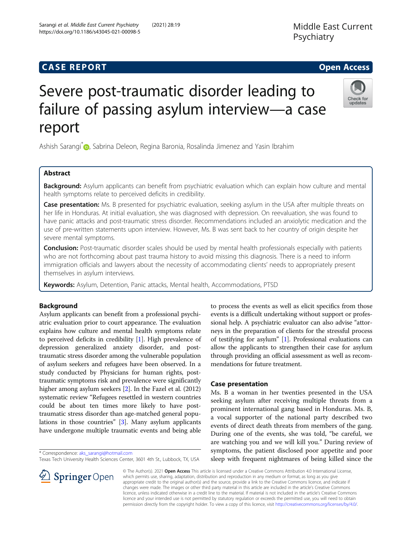## **CASE REPORT CASE REPORT CASE REPORT**

# Severe post-traumatic disorder leading to failure of passing asylum interview—a case report

Ashish Sarangi<sup>[\\*](http://orcid.org/0000-0003-3176-4006)</sup> , Sabrina Deleon, Regina Baronia, Rosalinda Jimenez and Yasin Ibrahim

## Abstract

Background: Asylum applicants can benefit from psychiatric evaluation which can explain how culture and mental health symptoms relate to perceived deficits in credibility.

Case presentation: Ms. B presented for psychiatric evaluation, seeking asylum in the USA after multiple threats on her life in Honduras. At initial evaluation, she was diagnosed with depression. On reevaluation, she was found to have panic attacks and post-traumatic stress disorder. Recommendations included an anxiolytic medication and the use of pre-written statements upon interview. However, Ms. B was sent back to her country of origin despite her severe mental symptoms.

Conclusion: Post-traumatic disorder scales should be used by mental health professionals especially with patients who are not forthcoming about past trauma history to avoid missing this diagnosis. There is a need to inform immigration officials and lawyers about the necessity of accommodating clients' needs to appropriately present themselves in asylum interviews.

Keywords: Asylum, Detention, Panic attacks, Mental health, Accommodations, PTSD

## Background

Asylum applicants can benefit from a professional psychiatric evaluation prior to court appearance. The evaluation explains how culture and mental health symptoms relate to perceived deficits in credibility [[1](#page-2-0)]. High prevalence of depression generalized anxiety disorder, and posttraumatic stress disorder among the vulnerable population of asylum seekers and refugees have been observed. In a study conducted by Physicians for human rights, posttraumatic symptoms risk and prevalence were significantly higher among asylum seekers [[2](#page-2-0)]. In the Fazel et al. (2012) systematic review "Refugees resettled in western countries could be about ten times more likely to have posttraumatic stress disorder than age-matched general populations in those countries" [[3\]](#page-2-0). Many asylum applicants have undergone multiple traumatic events and being able

\* Correspondence: [aks\\_sarangi@hotmail.com](mailto:aks_sarangi@hotmail.com)

 $\mathscr{L}$  Springer Open

Texas Tech University Health Sciences Center, 3601 4th St., Lubbock, TX, USA

to process the events as well as elicit specifics from those events is a difficult undertaking without support or professional help. A psychiatric evaluator can also advise "attorneys in the preparation of clients for the stressful process of testifying for asylum" [\[1](#page-2-0)]. Professional evaluations can allow the applicants to strengthen their case for asylum through providing an official assessment as well as recommendations for future treatment.

## Case presentation

Ms. B a woman in her twenties presented in the USA seeking asylum after receiving multiple threats from a prominent international gang based in Honduras. Ms. B, a vocal supporter of the national party described two events of direct death threats from members of the gang. During one of the events, she was told, "be careful, we are watching you and we will kill you." During review of symptoms, the patient disclosed poor appetite and poor sleep with frequent nightmares of being killed since the

© The Author(s). 2021 Open Access This article is licensed under a Creative Commons Attribution 4.0 International License, which permits use, sharing, adaptation, distribution and reproduction in any medium or format, as long as you give appropriate credit to the original author(s) and the source, provide a link to the Creative Commons licence, and indicate if changes were made. The images or other third party material in this article are included in the article's Creative Commons licence, unless indicated otherwise in a credit line to the material. If material is not included in the article's Creative Commons licence and your intended use is not permitted by statutory regulation or exceeds the permitted use, you will need to obtain permission directly from the copyright holder. To view a copy of this licence, visit <http://creativecommons.org/licenses/by/4.0/>.

Sarangi et al. Middle East Current Psychiatry (2021) 28:19 https://doi.org/10.1186/s43045-021-00098-5

Middle East Current

Psychiatry



undates

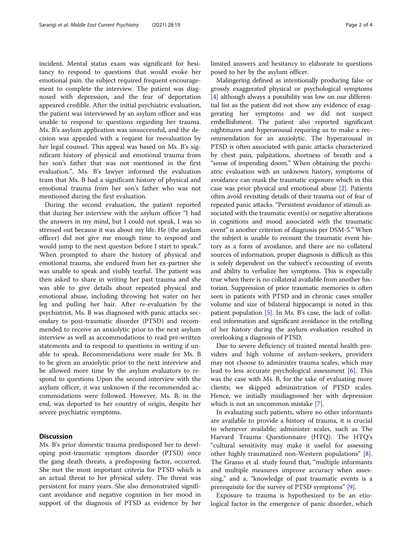incident. Mental status exam was significant for hesitancy to respond to questions that would evoke her emotional pain. the subject required frequent encouragement to complete the interview. The patient was diagnosed with depression, and the fear of deportation appeared credible. After the initial psychiatric evaluation, the patient was interviewed by an asylum officer and was unable to respond to questions regarding her trauma. Ms. B's asylum application was unsuccessful, and the decision was appealed with a request for reevaluation by her legal counsel. This appeal was based on Ms. B's significant history of physical and emotional trauma from her son's father that was not mentioned in the first evaluation.". Ms. B's lawyer informed the evaluation team that Ms. B had a significant history of physical and emotional trauma from her son's father who was not mentioned during the first evaluation.

During the second evaluation, the patient reported that during her interview with the asylum officer "I had the answers in my mind, but I could not speak, I was so stressed out because it was about my life. He (the asylum officer) did not give me enough time to respond and would jump to the next question before I start to speak." When prompted to share the history of physical and emotional trauma, she endured from her ex-partner she was unable to speak and visibly tearful. The patient was then asked to share in writing her past trauma and she was able to give details about repeated physical and emotional abuse, including throwing hot water on her leg and pulling her hair. After re-evaluation by the psychiatrist, Ms. B was diagnosed with panic attacks secondary to post-traumatic disorder (PTSD) and recommended to receive an anxiolytic prior to the next asylum interview as well as accommodations to read pre-written statements and to respond to questions in writing if unable to speak. Recommendations were made for Ms. B to be given an anxiolytic prior to the next interview and be allowed more time by the asylum evaluators to respond to questions Upon the second interview with the asylum officer, it was unknown if the recommended accommodations were followed. However, Ms. B, in the end, was deported to her country of origin, despite her severe psychiatric symptoms.

## **Discussion**

Ms. B's prior domestic trauma predisposed her to developing post-traumatic symptom disorder (PTSD) once the gang death threats, a predisposing factor, occurred. She met the most important criteria for PTSD which is an actual threat to her physical safety. The threat was persistent for many years. She also demonstrated significant avoidance and negative cognition in her mood in support of the diagnosis of PTSD as evidence by her limited answers and hesitancy to elaborate to questions posed to her by the asylum officer.

Malingering defined as intentionally producing false or grossly exaggerated physical or psychological symptoms [[4\]](#page-2-0) although always a possibility was low on our differential list as the patient did not show any evidence of exaggerating her symptoms and we did not suspect embellishment. The patient also reported significant nightmares and hyperarousal requiring us to make a recommendation for an anxiolytic. The hyperarousal in PTSD is often associated with panic attacks characterized by chest pain, palpitations, shortness of breath and a "sense of impending doom." When obtaining the psychiatric evaluation with an unknown history, symptoms of avoidance can mask the traumatic exposure which in this case was prior physical and emotional abuse [\[2](#page-2-0)]. Patients often avoid revisiting details of their trauma out of fear of repeated panic attacks. "Persistent avoidance of stimuli associated with the traumatic event(s) or negative alterations in cognitions and mood associated with the traumatic event" is another criterion of diagnosis per DSM-5." When the subject is unable to recount the traumatic event history as a form of avoidance, and there are no collateral sources of information, proper diagnosis is difficult as this is solely dependent on the subject's recounting of events and ability to verbalize her symptoms. This is especially true when there is no collateral available from another historian. Suppression of prior traumatic memories is often seen in patients with PTSD and in chronic cases smaller volume and size of bilateral hippocampi is noted in this patient population [[5\]](#page-2-0). In Ms. B's case, the lack of collateral information and significant avoidance in the retelling of her history during the asylum evaluation resulted in overlooking a diagnosis of PTSD.

Due to severe deficiency of trained mental health providers and high volume of asylum-seekers, providers may not choose to administer trauma scales, which may lead to less accurate psychological assessment [[6\]](#page-2-0). This was the case with Ms. B, for the sake of evaluating more clients; we skipped administration of PTSD scales. Hence, we initially misdiagnosed her with depression which is not an uncommon mistake [\[7](#page-2-0)].

In evaluating such patients, where no other informants are available to provide a history of trauma, it is crucial to whenever available; administer scales, such as The Harvard Trauma Questionnaire (HTQ). The HTQ's "cultural sensitivity may make it useful for assessing other highly traumatized non-Western populations" [\[8](#page-3-0)]. The Grasso et al. study found that, "multiple informants and multiple measures improve accuracy when assessing," and a, "knowledge of past traumatic events is a prerequisite for the survey of PTSD symptoms" [\[9](#page-3-0)].

Exposure to trauma is hypothesized to be an etiological factor in the emergence of panic disorder, which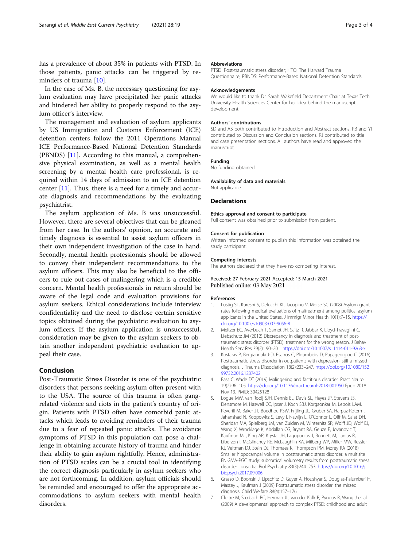<span id="page-2-0"></span>has a prevalence of about 35% in patients with PTSD. In those patients, panic attacks can be triggered by reminders of trauma [\[10\]](#page-3-0).

In the case of Ms. B, the necessary questioning for asylum evaluation may have precipitated her panic attacks and hindered her ability to properly respond to the asylum officer's interview.

The management and evaluation of asylum applicants by US Immigration and Customs Enforcement (ICE) detention centers follow the 2011 Operations Manual ICE Performance-Based National Detention Standards (PBNDS) [[11\]](#page-3-0). According to this manual, a comprehensive physical examination, as well as a mental health screening by a mental health care professional, is required within 14 days of admission to an ICE detention center [\[11](#page-3-0)]. Thus, there is a need for a timely and accurate diagnosis and recommendations by the evaluating psychiatrist.

The asylum application of Ms. B was unsuccessful. However, there are several objectives that can be gleaned from her case. In the authors' opinion, an accurate and timely diagnosis is essential to assist asylum officers in their own independent investigation of the case in hand. Secondly, mental health professionals should be allowed to convey their independent recommendations to the asylum officers. This may also be beneficial to the officers to rule out cases of malingering which is a credible concern. Mental health professionals in return should be aware of the legal code and evaluation provisions for asylum seekers. Ethical considerations include interview confidentiality and the need to disclose certain sensitive topics obtained during the psychiatric evaluation to asylum officers. If the asylum application is unsuccessful, consideration may be given to the asylum seekers to obtain another independent psychiatric evaluation to appeal their case.

## Conclusion

Post-Traumatic Stress Disorder is one of the psychiatric disorders that persons seeking asylum often present with to the USA. The source of this trauma is often gangrelated violence and riots in the patient's country of origin. Patients with PTSD often have comorbid panic attacks which leads to avoiding reminders of their trauma due to a fear of repeated panic attacks. The avoidance symptoms of PTSD in this population can pose a challenge in obtaining accurate history of trauma and hinder their ability to gain asylum rightfully. Hence, administration of PTSD scales can be a crucial tool in identifying the correct diagnosis particularly in asylum seekers who are not forthcoming. In addition, asylum officials should be reminded and encouraged to offer the appropriate accommodations to asylum seekers with mental health disorders.

#### Abbreviations

PTSD: Post-traumatic stress disorder; HTQ: The Harvard Trauma Questionnaire; PBNDS: Performance-Based National Detention Standards

#### Acknowledgements

We would like to thank Dr. Sarah Wakefield Department Chair at Texas Tech University Health Sciences Center for her idea behind the manuscript development.

#### Authors' contributions

SD and AS both contributed to Introduction and Abstract sections. RB and YI contributed to Discussion and Conclusion sections. RJ contributed to title and case presentation sections. All authors have read and approved the manuscript.

#### Funding

No funding obtained.

#### Availability of data and materials

Not applicable.

#### Declarations

#### Ethics approval and consent to participate

Full consent was obtained prior to submission from patient.

#### Consent for publication

Written informed consent to publish this information was obtained the study participant.

#### Competing interests

The authors declared that they have no competing interest.

#### Received: 27 February 2021 Accepted: 15 March 2021 Published online: 03 May 2021

#### References

- 1. Lustig SL, Kureshi S, Delucchi KL, Iacopino V, Morse SC (2008) Asylum grant rates following medical evaluations of maltreatment among political asylum applicants in the United States. J Immigr Minor Health 10(1):7–15. [https://](https://doi.org/10.1007/s10903-007-9056-8) [doi.org/10.1007/s10903-007-9056-8](https://doi.org/10.1007/s10903-007-9056-8)
- 2. Meltzer EC, Averbuch T, Samet JH, Saitz R, Jabbar K, Lloyd-Travaglini C, Liebschutz JM (2012) Discrepancy in diagnosis and treatment of posttraumatic stress disorder (PTSD): treatment for the wrong reason. J Behav Health Serv Res 39(2):190–201. <https://doi.org/10.1007/s11414-011-9263-x>
- 3. Kostaras P, Bergiannaki J-D, Psarros C, Ploumbidis D, Papageorgiou C (2016) Posttraumatic stress disorder in outpatients with depression: still a missed diagnosis. J Trauma Dissociation 18(2):233–247. [https://doi.org/10.1080/152](https://doi.org/10.1080/15299732.2016.1237402) [99732.2016.1237402](https://doi.org/10.1080/15299732.2016.1237402)
- 4. Bass C, Wade DT (2019) Malingering and factitious disorder. Pract Neurol 19(2):96–105. <https://doi.org/10.1136/practneurol-2018-001950> Epub 2018 Nov 13. PMID: 30425128
- 5. Logue MW, van Rooij SJH, Dennis EL, Davis SL, Hayes JP, Stevens JS, Densmore M, Haswell CC, Ipser J, Koch SBJ, Korgaonkar M, Lebois LAM, Peverill M, Baker JT, Boedhoe PSW, Frijling JL, Gruber SA, Harpaz-Rotem I, Jahanshad N, Koopowitz S, Levy I, Nawijn L, O'Connor L, Olff M, Salat DH, Sheridan MA, Spielberg JM, van Zuiden M, Winternitz SR, Wolff JD, Wolf EJ, Wang X, Wrocklage K, Abdallah CG, Bryant RA, Geuze E, Jovanovic T, Kaufman ML, King AP, Krystal JH, Lagopoulos J, Bennett M, Lanius R, Liberzon I, McGlinchey RE, McLaughlin KA, Milberg WP, Miller MW, Ressler KJ, Veltman DJ, Stein DJ, Thomaes K, Thompson PM, Morey RA (2018) Smaller hippocampal volume in posttraumatic stress disorder: a multisite ENIGMA-PGC study: subcortical volumetry results from posttraumatic stress disorder consortia. Biol Psychiatry 83(3):244–253. [https://doi.org/10.1016/j.](https://doi.org/10.1016/j.biopsych.2017.09.006) [biopsych.2017.09.006](https://doi.org/10.1016/j.biopsych.2017.09.006)
- 6. Grasso D, Boonsiri J, Lipschitz D, Guyer A, Houshyar S, Douglas-Palumberi H, Massey J, Kaufman J (2009) Posttraumatic stress disorder: the missed diagnosis. Child Welfare 88(4):157–176
- 7. Cloitre M, Stolbach BC, Herman JL, van der Kolk B, Pynoos R, Wang J et al (2009) A developmental approach to complex PTSD: childhood and adult